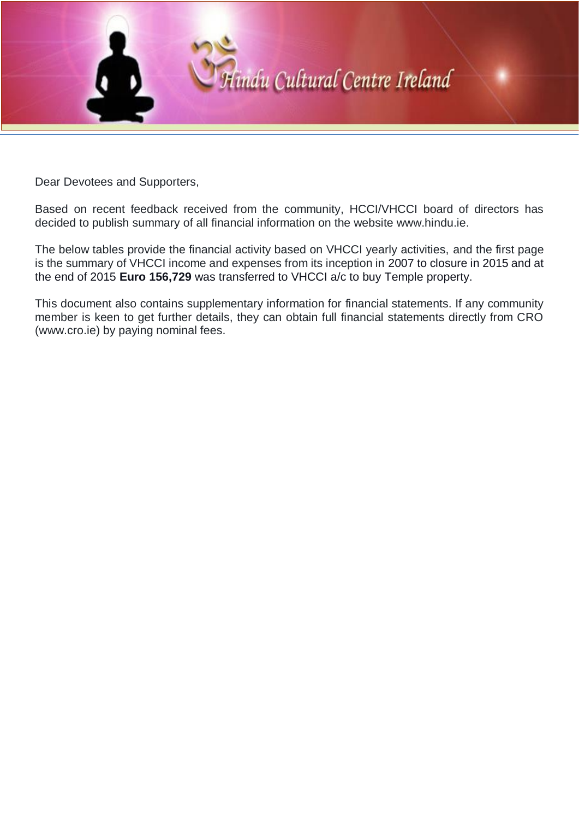

Dear Devotees and Supporters,

Based on recent feedback received from the community, HCCI/VHCCI board of directors has decided to publish summary of all financial information on the website www.hindu.ie.

The below tables provide the financial activity based on VHCCI yearly activities, and the first page is the summary of VHCCI income and expenses from its inception in 2007 to closure in 2015 and at the end of 2015 **Euro 156,729** was transferred to VHCCI a/c to buy Temple property.

This document also contains supplementary information for financial statements. If any community member is keen to get further details, they can obtain full financial statements directly from CRO (www.cro.ie) by paying nominal fees.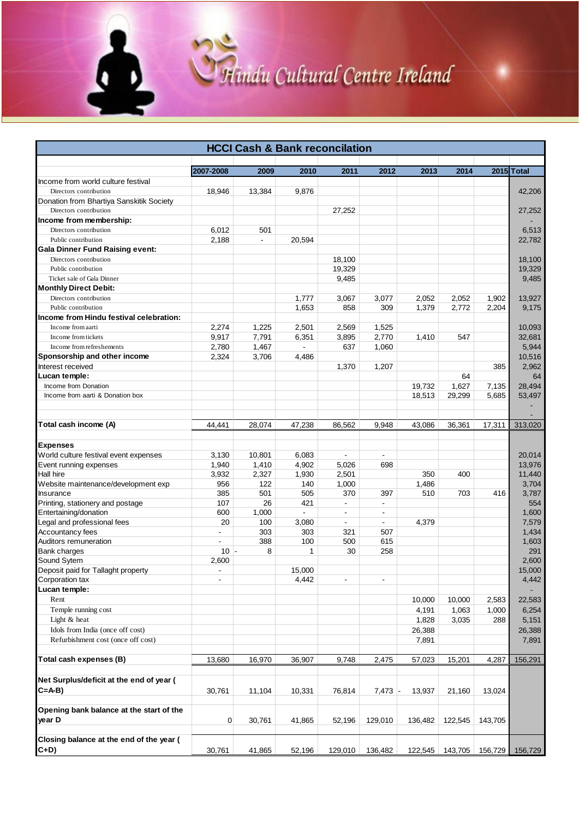# Hindu Cultural Centre Ireland

ā

| <b>HCCI Cash &amp; Bank reconcilation</b>                          |                          |                          |                |                          |                          |         |         |         |            |
|--------------------------------------------------------------------|--------------------------|--------------------------|----------------|--------------------------|--------------------------|---------|---------|---------|------------|
|                                                                    |                          |                          |                |                          |                          |         |         |         |            |
|                                                                    | 2007-2008                | 2009                     | 2010           | 2011                     | 2012                     | 2013    | 2014    |         | 2015 Total |
| Income from world culture festival                                 |                          |                          |                |                          |                          |         |         |         |            |
| Directors contribution                                             | 18,946                   | 13,384                   | 9,876          |                          |                          |         |         |         | 42,206     |
| Donation from Bhartiya Sanskitik Society<br>Directors contribution |                          |                          |                | 27,252                   |                          |         |         |         | 27,252     |
| Income from membership:                                            |                          |                          |                |                          |                          |         |         |         |            |
| Directors contribution                                             | 6,012                    | 501                      |                |                          |                          |         |         |         | 6,513      |
| Public contribution                                                | 2,188                    | $\overline{\phantom{a}}$ | 20,594         |                          |                          |         |         |         | 22,782     |
| <b>Gala Dinner Fund Raising event:</b>                             |                          |                          |                |                          |                          |         |         |         |            |
| Directors contribution                                             |                          |                          |                | 18,100                   |                          |         |         |         | 18,100     |
| Public contribution                                                |                          |                          |                | 19,329                   |                          |         |         |         | 19,329     |
| Ticket sale of Gala Dinner                                         |                          |                          |                | 9,485                    |                          |         |         |         | 9,485      |
| <b>Monthly Direct Debit:</b>                                       |                          |                          |                |                          |                          |         |         |         |            |
| Directors contribution                                             |                          |                          | 1,777          | 3,067                    | 3,077                    | 2,052   | 2,052   | 1,902   | 13,927     |
| Public contribution                                                |                          |                          | 1,653          | 858                      | 309                      | 1,379   | 2,772   | 2,204   | 9,175      |
| Income from Hindu festival celebration:                            |                          |                          |                |                          |                          |         |         |         |            |
| Income from aarti                                                  | 2,274                    | 1,225                    | 2,501          | 2,569                    | 1,525                    |         |         |         | 10,093     |
| Income from tickets                                                | 9,917                    | 7,791                    | 6,351          | 3,895                    | 2,770                    | 1,410   | 547     |         | 32,681     |
| Income from refreshements                                          | 2,780                    | 1,467                    | $\blacksquare$ | 637                      | 1,060                    |         |         |         | 5,944      |
| Sponsorship and other income                                       | 2,324                    | 3,706                    | 4,486          |                          |                          |         |         |         | 10,516     |
| Interest received                                                  |                          |                          |                | 1,370                    | 1,207                    |         |         | 385     | 2,962      |
| Lucan temple:                                                      |                          |                          |                |                          |                          |         | 64      |         | 64         |
| Income from Donation                                               |                          |                          |                |                          |                          | 19,732  | 1,627   | 7,135   | 28,494     |
| Income from aarti & Donation box                                   |                          |                          |                |                          |                          | 18,513  | 29,299  | 5,685   | 53,497     |
|                                                                    |                          |                          |                |                          |                          |         |         |         |            |
|                                                                    |                          |                          |                |                          |                          |         |         |         |            |
| Total cash income (A)                                              | 44,441                   | 28,074                   | 47,238         | 86,562                   | 9,948                    | 43,086  | 36,361  | 17,311  | 313,020    |
| <b>Expenses</b>                                                    |                          |                          |                |                          |                          |         |         |         |            |
| World culture festival event expenses                              | 3,130                    | 10,801                   | 6,083          | $\overline{\phantom{a}}$ | $\blacksquare$           |         |         |         | 20,014     |
| Event running expenses                                             | 1,940                    | 1,410                    | 4,902          | 5,026                    | 698                      |         |         |         | 13,976     |
| <b>Hall hire</b>                                                   | 3,932                    | 2,327                    | 1,930          | 2,501                    |                          | 350     | 400     |         | 11,440     |
| Website maintenance/development exp                                | 956                      | 122                      | 140            | 1,000                    |                          | 1,486   |         |         | 3,704      |
| Insurance                                                          | 385                      | 501                      | 505            | 370                      | 397                      | 510     | 703     | 416     | 3,787      |
| Printing, stationery and postage                                   | 107                      | 26                       | 421            | $\blacksquare$           | $\overline{\phantom{a}}$ |         |         |         | 554        |
| Entertaining/donation                                              | 600                      | 1,000                    | $\blacksquare$ | $\blacksquare$           | $\blacksquare$           |         |         |         | 1,600      |
| Legal and professional fees                                        | 20                       | 100                      | 3,080          | $\blacksquare$           | ÷.                       | 4.379   |         |         | 7,579      |
| Accountancy fees                                                   | $\blacksquare$           | 303                      | 303            | 321                      | 507                      |         |         |         | 1,434      |
| Auditors remuneration                                              | $\blacksquare$           | 388                      | 100            | 500                      | 615                      |         |         |         | 1,603      |
| <b>Bank charges</b>                                                | $10 -$                   | 8                        | 1              | 30                       | 258                      |         |         |         | 291        |
| Sound Sytem                                                        | 2,600                    |                          |                |                          |                          |         |         |         | 2,600      |
| Deposit paid for Tallaght property                                 | $\sim$                   |                          | 15,000         |                          |                          |         |         |         | 15,000     |
| Corporation tax                                                    | $\overline{\phantom{a}}$ |                          | 4,442          | $\blacksquare$           | $\overline{\phantom{a}}$ |         |         |         | 4,442      |
| Lucan temple:                                                      |                          |                          |                |                          |                          |         |         |         |            |
| Rent                                                               |                          |                          |                |                          |                          | 10,000  | 10,000  | 2,583   | 22,583     |
| Temple running cost                                                |                          |                          |                |                          |                          | 4,191   | 1,063   | 1,000   | 6,254      |
| Light & heat                                                       |                          |                          |                |                          |                          | 1,828   | 3,035   | 288     | 5,151      |
| Idols from India (once off cost)                                   |                          |                          |                |                          |                          | 26,388  |         |         | 26,388     |
| Refurbishment cost (once off cost)                                 |                          |                          |                |                          |                          | 7,891   |         |         | 7,891      |
|                                                                    |                          |                          |                |                          |                          |         |         |         |            |
| Total cash expenses (B)                                            | 13,680                   | 16,970                   | 36,907         | 9,748                    | 2,475                    | 57,023  | 15,201  | 4,287   | 156,291    |
| Net Surplus/deficit at the end of year (<br>$C = A-B$              | 30,761                   | 11,104                   | 10,331         | 76,814                   | $7,473$ -                | 13,937  | 21,160  | 13,024  |            |
| Opening bank balance at the start of the<br>year D                 | $\mathbf{0}$             | 30,761                   | 41,865         | 52,196                   | 129,010                  | 136,482 | 122,545 | 143,705 |            |
| Closing balance at the end of the year (                           |                          |                          |                |                          |                          |         |         |         |            |
| $C+D)$                                                             | 30,761                   | 41,865                   | 52,196         | 129,010                  | 136,482                  | 122,545 | 143,705 | 156,729 | 156,729    |
|                                                                    |                          |                          |                |                          |                          |         |         |         |            |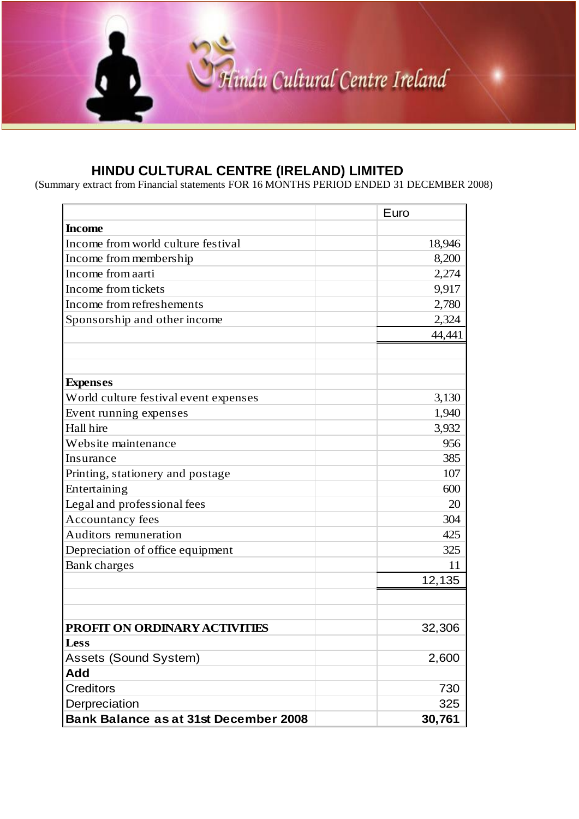

#### **HINDU CULTURAL CENTRE (IRELAND) LIMITED**

(Summary extract from Financial statements FOR 16 MONTHS PERIOD ENDED 31 DECEMBER 2008)

|                                              | Euro   |
|----------------------------------------------|--------|
| <b>Income</b>                                |        |
| Income from world culture festival           | 18,946 |
| Income from membership                       | 8,200  |
| Income from aarti                            | 2,274  |
| Income from tickets                          | 9,917  |
| Income from refreshements                    | 2,780  |
| Sponsorship and other income                 | 2,324  |
|                                              | 44,441 |
|                                              |        |
|                                              |        |
| <b>Expenses</b>                              |        |
| World culture festival event expenses        | 3,130  |
| Event running expenses                       | 1,940  |
| Hall hire                                    | 3,932  |
| Website maintenance                          | 956    |
| Insurance                                    | 385    |
| Printing, stationery and postage             | 107    |
| Entertaining                                 | 600    |
| Legal and professional fees                  | 20     |
| <b>Accountancy fees</b>                      | 304    |
| Auditors remuneration                        | 425    |
| Depreciation of office equipment             | 325    |
| Bank charges                                 | 11     |
|                                              | 12,135 |
|                                              |        |
|                                              |        |
| PROFIT ON ORDINARY ACTIVITIES                | 32,306 |
| <b>Less</b>                                  |        |
| Assets (Sound System)                        | 2,600  |
| <b>Add</b>                                   |        |
| <b>Creditors</b>                             | 730    |
| Derpreciation                                | 325    |
| <b>Bank Balance as at 31st December 2008</b> | 30,761 |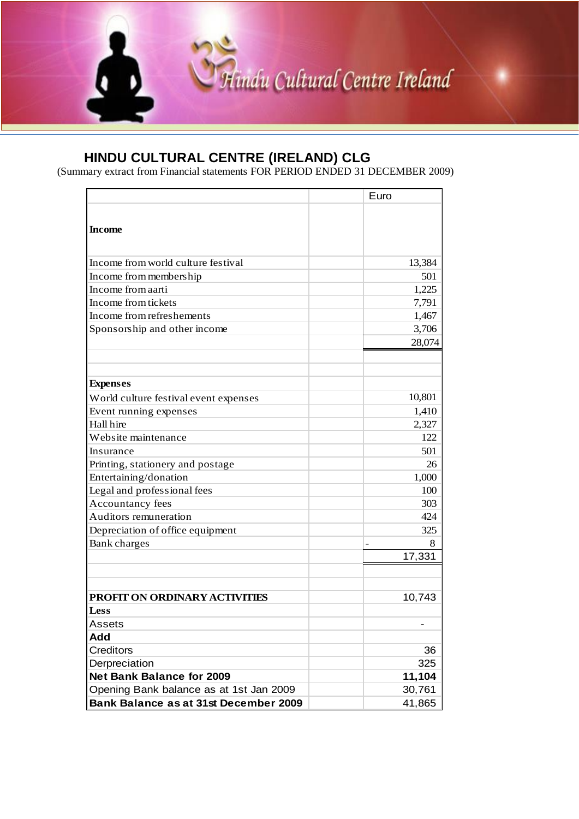

(Summary extract from Financial statements FOR PERIOD ENDED 31 DECEMBER 2009)

|                                         | Euro   |
|-----------------------------------------|--------|
| <b>Income</b>                           |        |
| Income from world culture festival      | 13,384 |
| Income from membership                  | 501    |
| Income from aarti                       | 1,225  |
| Income from tickets                     | 7,791  |
| Income from refreshements               | 1,467  |
| Sponsorship and other income            | 3,706  |
|                                         | 28,074 |
| <b>Expenses</b>                         |        |
| World culture festival event expenses   | 10,801 |
| Event running expenses                  | 1,410  |
| Hall hire                               | 2,327  |
| Website maintenance                     | 122    |
| Insurance                               | 501    |
| Printing, stationery and postage        | 26     |
| Entertaining/donation                   | 1,000  |
| Legal and professional fees             | 100    |
| Accountancy fees                        | 303    |
| Auditors remuneration                   | 424    |
| Depreciation of office equipment        | 325    |
| <b>Bank</b> charges                     | 8      |
|                                         | 17,331 |
|                                         |        |
| <b>PROFIT ON ORDINARY ACTIVITIES</b>    | 10,743 |
| Less                                    |        |
| Assets                                  |        |
| Add                                     |        |
| <b>Creditors</b>                        | 36     |
| Derpreciation                           | 325    |
| <b>Net Bank Balance for 2009</b>        | 11,104 |
| Opening Bank balance as at 1st Jan 2009 | 30,761 |
| Bank Balance as at 31st December 2009   | 41,865 |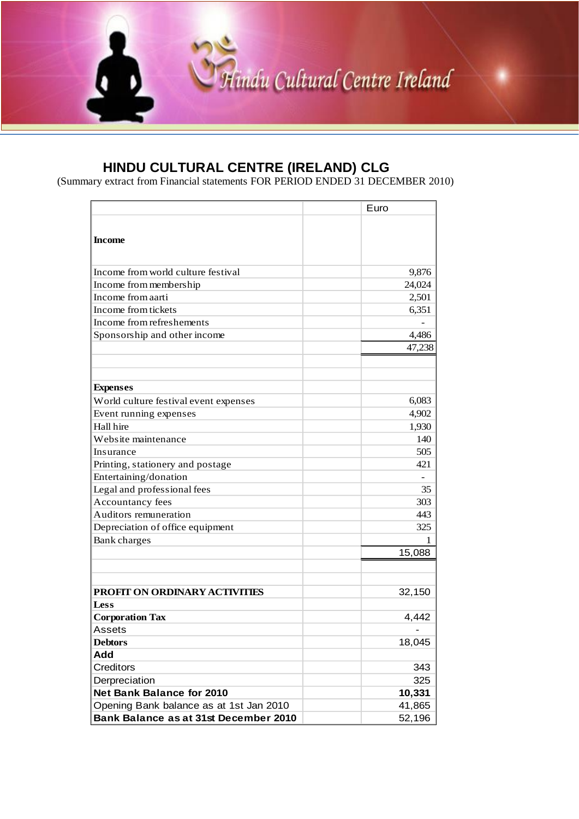

(Summary extract from Financial statements FOR PERIOD ENDED 31 DECEMBER 2010)

|                                         | Euro   |
|-----------------------------------------|--------|
|                                         |        |
| <b>Income</b>                           |        |
|                                         |        |
| Income from world culture festival      | 9,876  |
| Income from membership                  | 24,024 |
| Income from aarti                       | 2,501  |
| Income from tickets                     | 6,351  |
| Income from refreshements               |        |
| Sponsorship and other income            | 4,486  |
|                                         | 47,238 |
|                                         |        |
|                                         |        |
| <b>Expenses</b>                         |        |
| World culture festival event expenses   | 6,083  |
| Event running expenses                  | 4,902  |
| Hall hire                               | 1,930  |
| Website maintenance                     | 140    |
| Insurance                               | 505    |
| Printing, stationery and postage        | 421    |
| Entertaining/donation                   |        |
| Legal and professional fees             | 35     |
| Accountancy fees                        | 303    |
| Auditors remuneration                   | 443    |
| Depreciation of office equipment        | 325    |
| Bank charges                            | 1      |
|                                         | 15,088 |
|                                         |        |
|                                         |        |
| PROFIT ON ORDINARY ACTIVITIES           | 32,150 |
| Less                                    |        |
| <b>Corporation Tax</b>                  | 4,442  |
| Assets                                  |        |
| <b>Debtors</b>                          | 18,045 |
| Add                                     |        |
| Creditors                               | 343    |
| Derpreciation                           | 325    |
| <b>Net Bank Balance for 2010</b>        | 10,331 |
| Opening Bank balance as at 1st Jan 2010 | 41,865 |
| Bank Balance as at 31st December 2010   | 52,196 |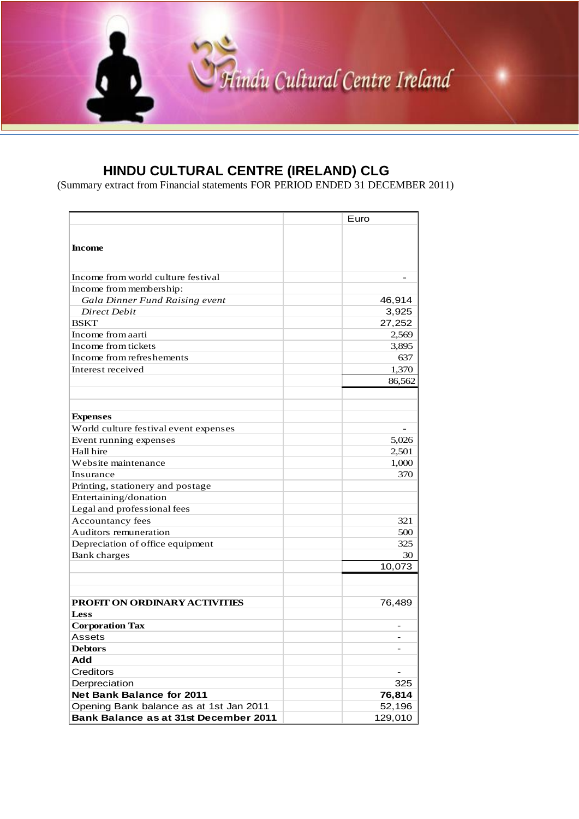

(Summary extract from Financial statements FOR PERIOD ENDED 31 DECEMBER 2011)

|                                         | Euro    |
|-----------------------------------------|---------|
| <b>Income</b>                           |         |
| Income from world culture festival      |         |
| Income from membership:                 |         |
| Gala Dinner Fund Raising event          | 46,914  |
| <b>Direct Debit</b>                     | 3,925   |
| <b>BSKT</b>                             | 27,252  |
| Income from aarti                       | 2,569   |
| Income from tickets                     | 3,895   |
| Income from refreshements               | 637     |
| Interest received                       | 1,370   |
|                                         | 86,562  |
|                                         |         |
|                                         |         |
| <b>Expenses</b>                         |         |
| World culture festival event expenses   |         |
| Event running expenses                  | 5,026   |
| Hall hire                               | 2,501   |
| Website maintenance                     | 1,000   |
| Insurance                               | 370     |
| Printing, stationery and postage        |         |
| Entertaining/donation                   |         |
| Legal and professional fees             |         |
| Accountancy fees                        | 321     |
| Auditors remuneration                   | 500     |
| Depreciation of office equipment        | 325     |
| Bank charges                            | 30      |
|                                         | 10,073  |
|                                         |         |
| PROFIT ON ORDINARY ACTIVITIES           |         |
| <b>Less</b>                             | 76,489  |
| <b>Corporation Tax</b>                  |         |
| Assets                                  |         |
| <b>Debtors</b>                          |         |
| Add                                     |         |
| Creditors                               |         |
| Derpreciation                           | 325     |
| <b>Net Bank Balance for 2011</b>        | 76,814  |
| Opening Bank balance as at 1st Jan 2011 | 52,196  |
| Bank Balance as at 31st December 2011   | 129,010 |
|                                         |         |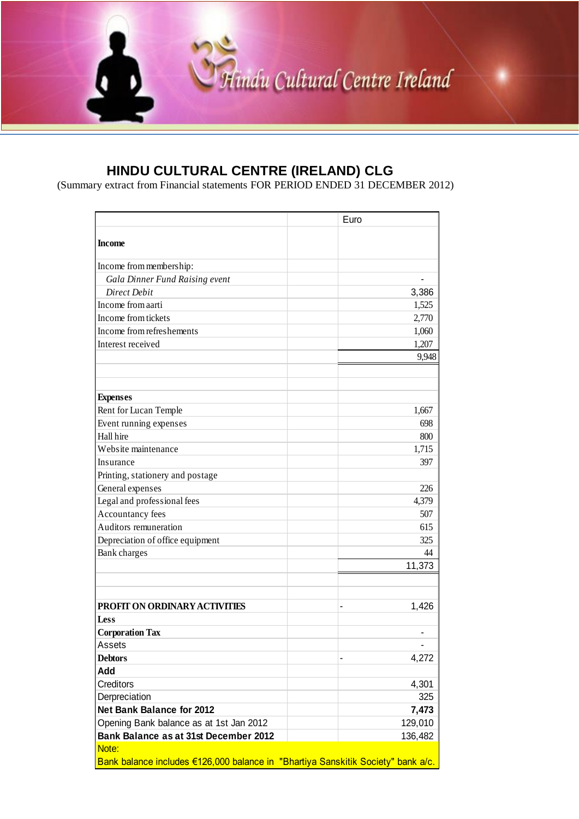

(Summary extract from Financial statements FOR PERIOD ENDED 31 DECEMBER 2012)

|                                                                                  | Euro    |
|----------------------------------------------------------------------------------|---------|
| <b>Income</b>                                                                    |         |
| Income from membership:                                                          |         |
| Gala Dinner Fund Raising event                                                   |         |
| <b>Direct Debit</b>                                                              | 3,386   |
| Income from aarti                                                                | 1,525   |
| Income from tickets                                                              | 2,770   |
| Income from refreshements                                                        | 1,060   |
| Interest received                                                                | 1,207   |
|                                                                                  | 9,948   |
|                                                                                  |         |
| <b>Expenses</b>                                                                  |         |
| Rent for Lucan Temple                                                            | 1,667   |
| Event running expenses                                                           | 698     |
| Hall hire                                                                        | 800     |
| Website maintenance                                                              | 1,715   |
| Insurance                                                                        | 397     |
| Printing, stationery and postage                                                 |         |
| General expenses                                                                 | 226     |
| Legal and professional fees                                                      | 4,379   |
| Accountancy fees                                                                 | 507     |
| Auditors remuneration                                                            | 615     |
| Depreciation of office equipment                                                 | 325     |
| Bank charges                                                                     | 44      |
|                                                                                  | 11,373  |
|                                                                                  |         |
| PROFIT ON ORDINARY ACTIVITIES                                                    | 1,426   |
| <b>Less</b>                                                                      |         |
| <b>Corporation Tax</b>                                                           |         |
| Assets                                                                           |         |
| <b>Debtors</b>                                                                   | 4,272   |
| Add                                                                              |         |
| Creditors                                                                        | 4,301   |
| Derpreciation                                                                    | 325     |
| <b>Net Bank Balance for 2012</b>                                                 | 7,473   |
| Opening Bank balance as at 1st Jan 2012                                          | 129,010 |
| Bank Balance as at 31st December 2012                                            | 136,482 |
| Note:                                                                            |         |
| Bank balance includes €126,000 balance in "Bhartiya Sanskitik Society" bank a/c. |         |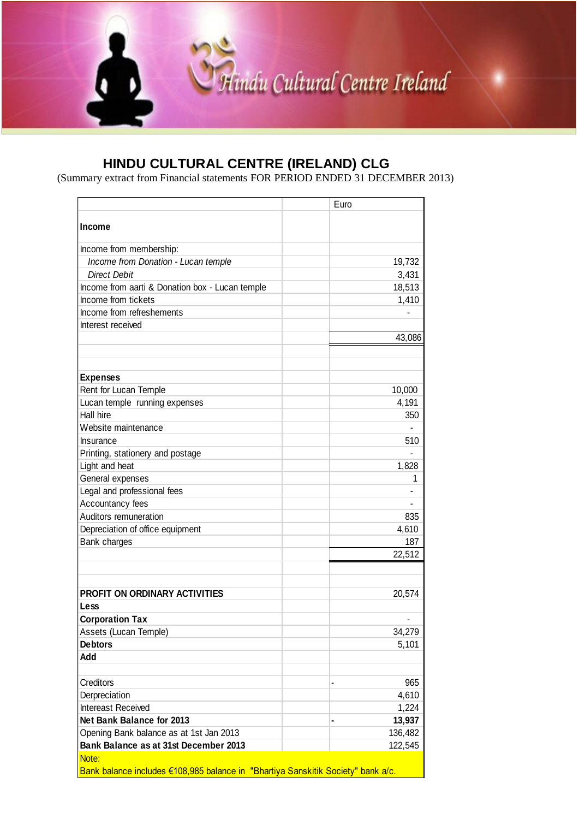

(Summary extract from Financial statements FOR PERIOD ENDED 31 DECEMBER 2013)

|                                                                                  | Euro    |
|----------------------------------------------------------------------------------|---------|
| <b>Income</b>                                                                    |         |
| Income from membership:                                                          |         |
| Income from Donation - Lucan temple                                              | 19,732  |
| <b>Direct Debit</b>                                                              | 3,431   |
| Income from aarti & Donation box - Lucan temple                                  | 18,513  |
| Income from tickets                                                              | 1,410   |
| Income from refreshements                                                        |         |
| Interest received                                                                |         |
|                                                                                  | 43,086  |
|                                                                                  |         |
|                                                                                  |         |
| <b>Expenses</b>                                                                  |         |
| Rent for Lucan Temple                                                            | 10,000  |
| Lucan temple running expenses<br>Hall hire                                       | 4,191   |
| Website maintenance                                                              | 350     |
|                                                                                  |         |
| Insurance                                                                        | 510     |
| Printing, stationery and postage                                                 |         |
| Light and heat                                                                   | 1,828   |
| General expenses                                                                 | 1       |
| Legal and professional fees                                                      |         |
| Accountancy fees                                                                 |         |
| Auditors remuneration                                                            | 835     |
| Depreciation of office equipment                                                 | 4,610   |
| Bank charges                                                                     | 187     |
|                                                                                  | 22,512  |
|                                                                                  |         |
| <b>PROFIT ON ORDINARY ACTIVITIES</b>                                             | 20,574  |
| Less                                                                             |         |
| <b>Corporation Tax</b>                                                           |         |
| Assets (Lucan Temple)                                                            | 34,279  |
| <b>Debtors</b>                                                                   | 5,101   |
| Add                                                                              |         |
| Creditors                                                                        | 965     |
| Derpreciation                                                                    | 4,610   |
| Intereast Received                                                               | 1,224   |
| Net Bank Balance for 2013                                                        | 13,937  |
| Opening Bank balance as at 1st Jan 2013                                          | 136,482 |
| Bank Balance as at 31st December 2013                                            | 122,545 |
| Note:                                                                            |         |
| Bank balance includes €108,985 balance in "Bhartiya Sanskitik Society" bank a/c. |         |
|                                                                                  |         |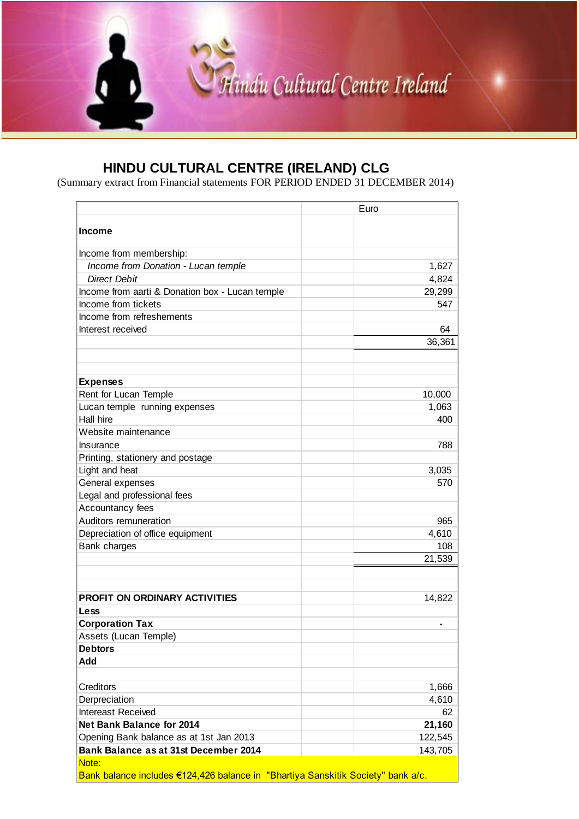

(Summary extract from Financial statements FOR PERIOD ENDED 31 DECEMBER 2014)

|                                                                                  | Euro    |
|----------------------------------------------------------------------------------|---------|
| <b>Income</b>                                                                    |         |
| Income from membership:                                                          |         |
| Income from Donation - Lucan temple                                              | 1,627   |
| <b>Direct Debit</b>                                                              | 4,824   |
| Income from aarti & Donation box - Lucan temple                                  | 29,299  |
| Income from tickets                                                              | 547     |
| Income from refreshements                                                        |         |
| Interest received                                                                | 64      |
|                                                                                  | 36,361  |
|                                                                                  |         |
|                                                                                  |         |
| <b>Expenses</b>                                                                  |         |
| Rent for Lucan Temple                                                            | 10,000  |
| Lucan temple running expenses                                                    | 1,063   |
| Hall hire                                                                        | 400     |
| Website maintenance                                                              |         |
| Insurance                                                                        | 788     |
| Printing, stationery and postage                                                 |         |
| Light and heat                                                                   | 3,035   |
| General expenses                                                                 | 570     |
| Legal and professional fees                                                      |         |
| Accountancy fees                                                                 |         |
| Auditors remuneration                                                            | 965     |
| Depreciation of office equipment                                                 | 4,610   |
| Bank charges                                                                     | 108     |
|                                                                                  | 21,539  |
|                                                                                  |         |
| <b>PROFIT ON ORDINARY ACTIVITIES</b>                                             | 14,822  |
| Less                                                                             |         |
| <b>Corporation Tax</b>                                                           |         |
| Assets (Lucan Temple)                                                            |         |
| <b>Debtors</b>                                                                   |         |
| Add                                                                              |         |
|                                                                                  |         |
| Creditors                                                                        | 1,666   |
| Derpreciation                                                                    | 4,610   |
| Intereast Received                                                               | 62      |
| <b>Net Bank Balance for 2014</b>                                                 | 21,160  |
| Opening Bank balance as at 1st Jan 2013                                          | 122,545 |
| Bank Balance as at 31st December 2014                                            | 143,705 |
| Note:                                                                            |         |
| Bank balance includes €124,426 balance in "Bhartiya Sanskitik Society" bank a/c. |         |